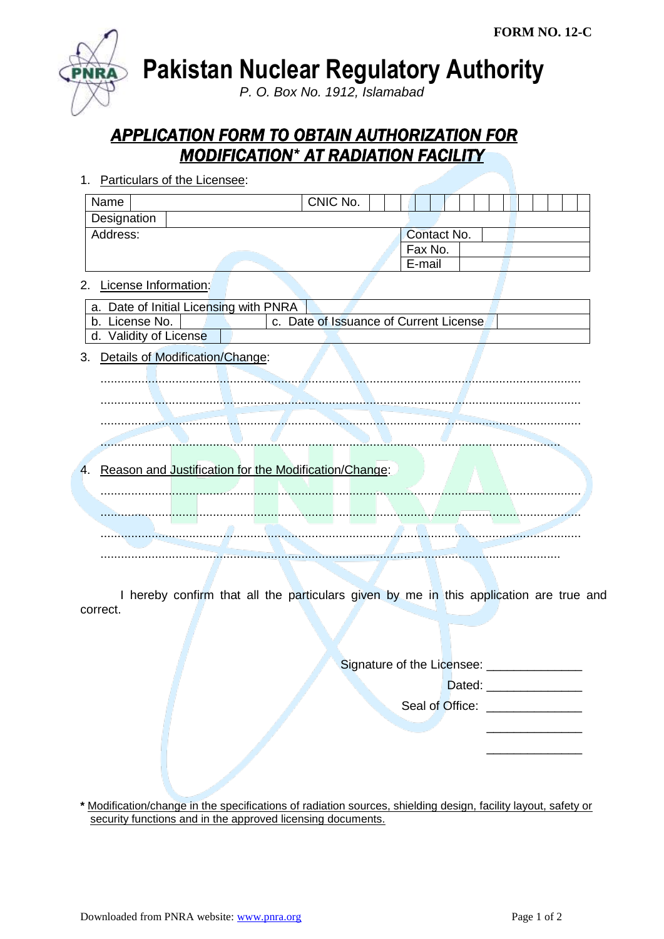

**Pakistan Nuclear Regulatory Authority**

*P. O. Box No. 1912, Islamabad*

## *APPLICATION FORM TO OBTAIN AUTHORIZATION FOR MODIFICATION\* AT RADIATION FACILITY*

| 1.                         | Particulars of the Licensee:                          |          |                                        |  |
|----------------------------|-------------------------------------------------------|----------|----------------------------------------|--|
| Name                       |                                                       | CNIC No. |                                        |  |
| Designation                |                                                       |          |                                        |  |
| Address:                   |                                                       |          | Contact No.                            |  |
|                            |                                                       |          | Fax No.                                |  |
|                            |                                                       |          | E-mail                                 |  |
| License Information:<br>2. |                                                       |          |                                        |  |
| a.                         | Date of Initial Licensing with PNRA                   |          |                                        |  |
| License No.<br>b.          |                                                       |          | c. Date of Issuance of Current License |  |
| d. Validity of License     |                                                       |          |                                        |  |
| 3.                         | Details of Modification/Change:                       |          |                                        |  |
| 4.                         | Reason and Justification for the Modification/Change: |          |                                        |  |
|                            |                                                       |          |                                        |  |
|                            |                                                       |          |                                        |  |
|                            |                                                       |          |                                        |  |
|                            |                                                       |          |                                        |  |
|                            |                                                       |          |                                        |  |
|                            |                                                       |          |                                        |  |

I hereby confirm that all the particulars given by me in this application are true and correct.

Signature of the Licensee: \_\_\_\_\_\_\_\_\_\_\_\_\_\_\_\_\_

Dated: \_\_\_\_\_\_\_\_\_\_\_\_\_\_

\_\_\_\_\_\_\_\_\_\_\_\_\_\_ \_\_\_\_\_\_\_\_\_\_\_\_\_\_

Seal of Office: \_\_\_\_\_\_\_\_\_\_\_\_\_\_

**\*** Modification/change in the specifications of radiation sources, shielding design, facility layout, safety or security functions and in the approved licensing documents.